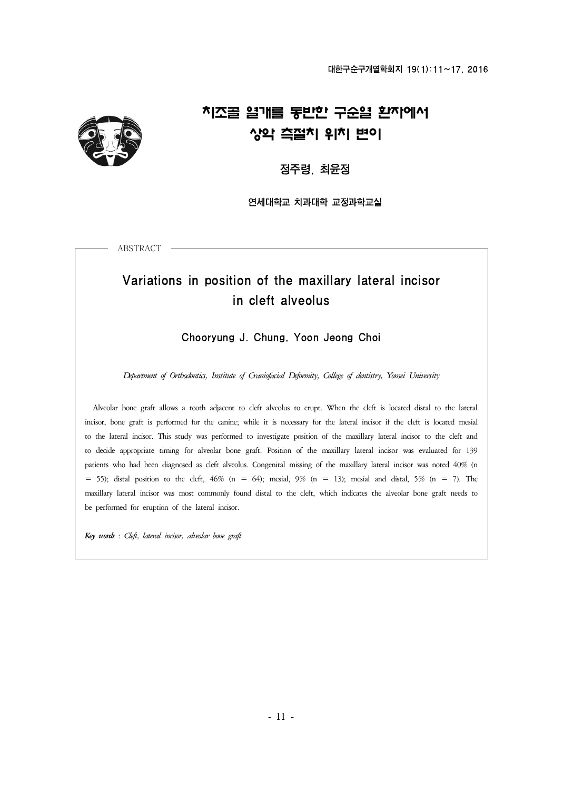

# 치조골 열개를 동반한 구순열 환자에서 상악 측절치 위치 변이

정주령, 최윤정

연세대학교 치과대학 교정과학교실

ABSTRACT

## Variations in position of the maxillary lateral incisor in cleft alveolus

Chooryung J. Chung, Yoon Jeong Choi

*Department of Orthodontics, Institute of Craniofacial Deformity, College of dentistry, Yonsei University*

 Alveolar bone graft allows a tooth adjacent to cleft alveolus to erupt. When the cleft is located distal to the lateral incisor, bone graft is performed for the canine; while it is necessary for the lateral incisor if the cleft is located mesial<br>to the lateral incisor. This study was performed to investigate position of the maxillary latera patients who had been diagnosed as cleft alveolus. Congenital missing of the maxillary lateral incisor was noted 40% (n = 55); distal position to the cleft, 46% (n = 64); mesial, 9% (n = 13); mesial and distal, 5% (n = 7) maxillary lateral incisor was most commonly found distal to the cleft, which indicates the alveolar bone graft needs to be performed for eruption of the lateral incisor.

*Key words* : *Cleft, lateral incisor, alveolar bone graft*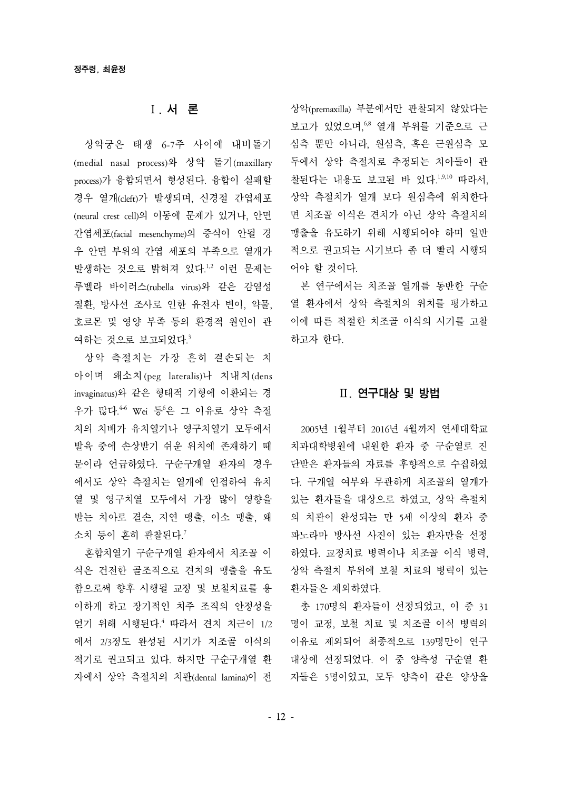### Ⅰ. 서 론

상악궁은 태생 6-7주 사이에 내비돌기 (medial nasal process)와 상악 돌기(maxillary process)가 융합되면서 형성된다. 융합이 실패할 경우 열개(cleft)가 발생되며, 신경절 간엽세포 (neural crest cell)의 이동에 문제가 있거나, 안면 간엽세포(facial mesenchyme)의 증식이 안될 경 우 안면 부위의 간엽 세포의 부족으로 열개가 발생하는 것으로 밝혀져 있다.1,2 이런 문제는 루벨라 바이러스(rubella virus)와 같은 감염성 질환, 방사선 조사로 인한 유전자 변이, 약물, 호르몬 및 영양 부족 등의 환경적 원인이 관 여하는 것으로 보고되었다.3

상악 측절치는 가장 흔히 결손되는 치 아이며 왜소치(peg lateralis)나 치내치(dens invaginatus)와 같은 형태적 기형에 이환되는 경 우가 많다.<sup>46</sup> Wei 등'은 그 이유로 상악 측절 치의 치배가 유치열기나 영구치열기 모두에서 발육 중에 손상받기 쉬운 위치에 존재하기 때 문이라 언급하였다. 구순구개열 환자의 경우 에서도 상악 측절치는 열개에 인접하여 유치 열 및 영구치열 모두에서 가장 많이 영향을 받는 치아로 결손, 지연 맹출, 이소 맹출, 왜 소치 등이 흔히 관찰된다.<sup>7</sup>

혼합치열기 구순구개열 환자에서 치조골 이 식은 건전한 골조직으로 견치의 맹출을 유도 함으로써 향후 시행될 교정 및 보철치료를 용 이하게 하고 장기적인 치주 조직의 안정성을 얻기 위해 시행된다.<sup>4</sup> 따라서 견치 치근이 1/2 에서 2/3정도 완성된 시기가 치조골 이식의 적기로 권고되고 있다. 하지만 구순구개열 환 자에서 상악 측절치의 치판(dental lamina)이 전

상악(premaxilla) 부분에서만 관찰되지 않았다는 보고가 있었으며, 68 열개 부위를 기준으로 근 심측 뿐만 아니라, 원심측, 혹은 근원심측 모 두에서 상악 측절치로 추정되는 치아들이 관 찰된다는 내용도 보고된 바 있다.1,9,10 따라서, 상악 측절치가 열개 보다 원심측에 위치한다 면 치조골 이식은 견치가 아닌 상악 측절치의 맹출을 유도하기 위해 시행되어야 하며 일반 적으로 권고되는 시기보다 좀 더 빨리 시행되 어야 할 것이다.

본 연구에서는 치조골 열개를 동반한 구순 열 환자에서 상악 측절치의 위치를 평가하고 이에 따른 적절한 치조골 이식의 시기를 고찰 하고자 한다.

#### Ⅱ. 연구대상 및 방법

2005년 1월부터 2016년 4월까지 연세대학교 치과대학병원에 내원한 환자 중 구순열로 진 단받은 환자들의 자료를 후향적으로 수집하였 다. 구개열 여부와 무관하게 치조골의 열개가 있는 환자들을 대상으로 하였고, 상악 측절치 의 치관이 완성되는 만 5세 이상의 환자 중 파노라마 방사선 사진이 있는 환자만을 선정 하였다. 교정치료 병력이나 치조골 이식 병력, 상악 측절치 부위에 보철 치료의 병력이 있는 환자들은 제외하였다.

총 170명의 환자들이 선정되었고, 이 중 31 명이 교정, 보철 치료 및 치조골 이식 병력의 이유로 제외되어 최종적으로 139명만이 연구 대상에 선정되었다. 이 중 양측성 구순열 환 자들은 5명이었고, 모두 양측이 같은 양상을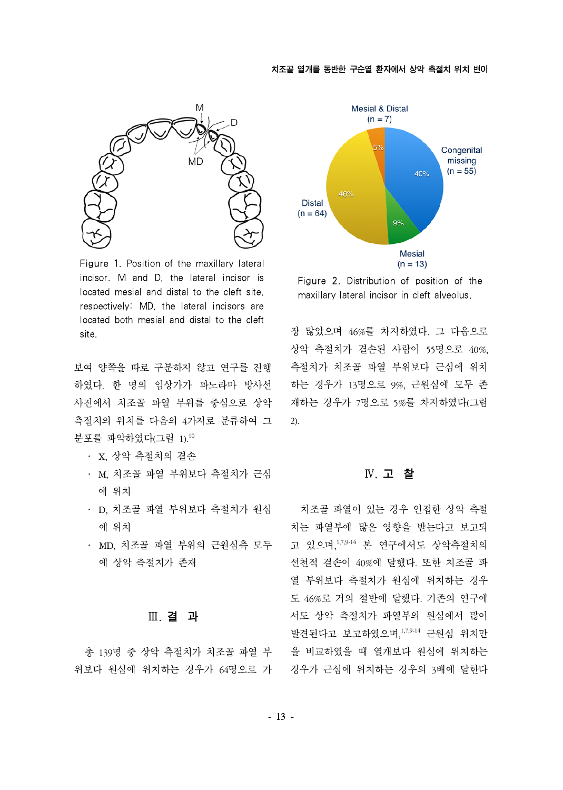

Figure 1. Position of the maxillary lateral incisor. M and D, the lateral incisor is located mesial and distal to the cleft site, respectively; MD, the lateral incisors are located both mesial and distal to the cleft site.

보여 양쪽을 따로 구분하지 않고 연구를 진행 하였다. 한 명의 임상가가 파노라마 방사선 사진에서 치조골 파열 부위를 중심으로 상악 측절치의 위치를 다음의 4가지로 분류하여 그 분포를 파악하였다(그림 1).<sup>10</sup>

- ․ X, 상악 측절치의 결손
- M, 치조골 파열 부위보다 측절치가 근심 에 위치
- D, 치조골 파열 부위보다 측절치가 원심 에 위치
- MD, 치조골 파열 부위의 근원심측 모두 에 상악 측절치가 존재

#### Ⅲ. 결 과

총 139명 중 상악 측절치가 치조골 파열 부 위보다 원심에 위치하는 경우가 64명으로 가 경우가 근심에 위치하는 경우의 3배에 달한다



Figure 2. Distribution of position of the maxillary lateral incisor in cleft alveolus.

장 많았으며 46%를 차지하였다. 그 다음으로 상악 측절치가 결손된 사람이 55명으로 40%, 측절치가 치조골 파열 부위보다 근심에 위치 하는 경우가 13명으로 9%, 근원심에 모두 존 재하는 경우가 7명으로 5%를 차지하였다(그림 2).

#### Ⅳ. 고 찰

치조골 파열이 있는 경우 인접한 상악 측절 치는 파열부에 많은 영향을 받는다고 보고되 고 있으며,1,7,9-14 본 연구에서도 상악측절치의 선천적 결손이 40%에 달했다. 또한 치조골 파 열 부위보다 측절치가 원심에 위치하는 경우 도 46%로 거의 절반에 달했다. 기존의 연구에 서도 상악 측절치가 파열부의 원심에서 많이 발견된다고 보고하였으며,1,7,9-14 근원심 위치만 을 비교하였을 때 열개보다 원심에 위치하는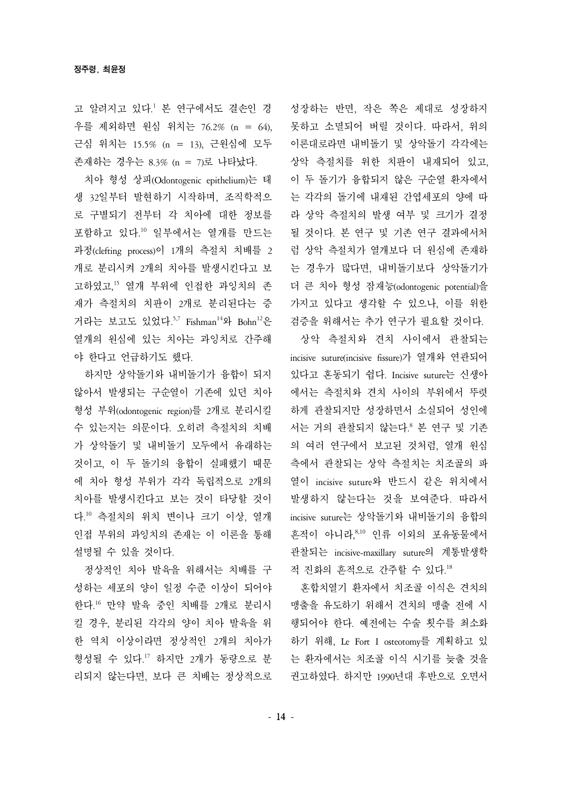고 알려지고 있다.<sup>1</sup> 본 연구에서도 결손인 경 우를 제외하면 원심 위치는 76.2% (n = 64), 근심 위치는 15.5% (n = 13), 근원심에 모두 존재하는 경우는 8.3% (n = 7)로 나타났다.

치아 형성 상피(Odontogenic epithelium)는 태 생 32일부터 발현하기 시작하며, 조직학적으 로 구별되기 전부터 각 치아에 대한 정보를 포함하고 있다.<sup>10</sup> 일부에서는 열개를 만드는 과정(clefting process)이 1개의 측절치 치배를 2 개로 분리시켜 2개의 치아를 발생시킨다고 보 고하였고,<sup>15</sup> 열개 부위에 인접한 과잉치의 존 재가 측절치의 치판이 2개로 분리된다는 증 거라는 보고도 있었다.<sup>5,7</sup> Fishman<sup>14</sup>와 Bohn<sup>12</sup>은 열개의 원심에 있는 치아는 과잉치로 간주해 야 한다고 언급하기도 했다.

하지만 상악돌기와 내비돌기가 융합이 되지 않아서 발생되는 구순열이 기존에 있던 치아 형성 부위(odontogenic region)를 2개로 분리시킬 수 있는지는 의문이다. 오히려 측절치의 치배 가 상악돌기 및 내비돌기 모두에서 유래하는 것이고, 이 두 돌기의 융합이 실패했기 때문 에 치아 형성 부위가 각각 독립적으로 2개의 치아를 발생시킨다고 보는 것이 타당할 것이 다.<sup>10</sup> 측절치의 위치 변이나 크기 이상, 열개 인접 부위의 과잉치의 존재는 이 이론을 통해 설명될 수 있을 것이다.

정상적인 치아 발육을 위해서는 치배를 구 성하는 세포의 양이 일정 수준 이상이 되어야 한다.<sup>16</sup> 만약 발육 중인 치배를 2개로 분리시 킬 경우, 분리된 각각의 양이 치아 발육을 위 한 역치 이상이라면 정상적인 2개의 치아가 형성될 수 있다.<sup>17</sup> 하지만 2개가 동량으로 분 리되지 않는다면, 보다 큰 치배는 정상적으로 성장하는 반면, 작은 쪽은 제대로 성장하지 못하고 소멸되어 버릴 것이다. 따라서, 위의 이론대로라면 내비돌기 및 상악돌기 각각에는 상악 측절치를 위한 치판이 내재되어 있고, 이 두 돌기가 융합되지 않은 구순열 환자에서 는 각각의 돌기에 내재된 간엽세포의 양에 따 라 상악 측절치의 발생 여부 및 크기가 결정 될 것이다. 본 연구 및 기존 연구 결과에서처 럼 상악 측절치가 열개보다 더 원심에 존재하 는 경우가 많다면, 내비돌기보다 상악돌기가 더 큰 치아 형성 잠재능(odontogenic potential)을 가지고 있다고 생각할 수 있으나, 이를 위한 검증을 위해서는 추가 연구가 필요할 것이다.

상악 측절치와 견치 사이에서 관찰되는 incisive suture(incisive fissure)가 열개와 연관되어 있다고 혼동되기 쉽다. Incisive suture는 신생아 에서는 측절치와 견치 사이의 부위에서 뚜렷 하게 관찰되지만 성장하면서 소실되어 성인에 서는 거의 관찰되지 않는다.<sup>8</sup> 본 연구 및 기존 의 여러 연구에서 보고된 것처럼, 열개 원심 측에서 관찰되는 상악 측절치는 치조골의 파 열이 incisive suture와 반드시 같은 위치에서 발생하지 않는다는 것을 보여준다. 따라서 incisive suture는 상악돌기와 내비돌기의 융합의 흔적이 아니라,8,10 인류 이외의 포유동물에서 관찰되는 incisive-maxillary suture의 계통발생학 적 진화의 흔적으로 간주할 수 있다.<sup>18</sup>

혼합치열기 환자에서 치조골 이식은 견치의 맹출을 유도하기 위해서 견치의 맹출 전에 시 행되어야 한다. 예전에는 수술 횟수를 최소화 하기 위해, Le Fort I osteotomy를 계획하고 있 는 환자에서는 치조골 이식 시기를 늦출 것을 권고하였다. 하지만 1990년대 후반으로 오면서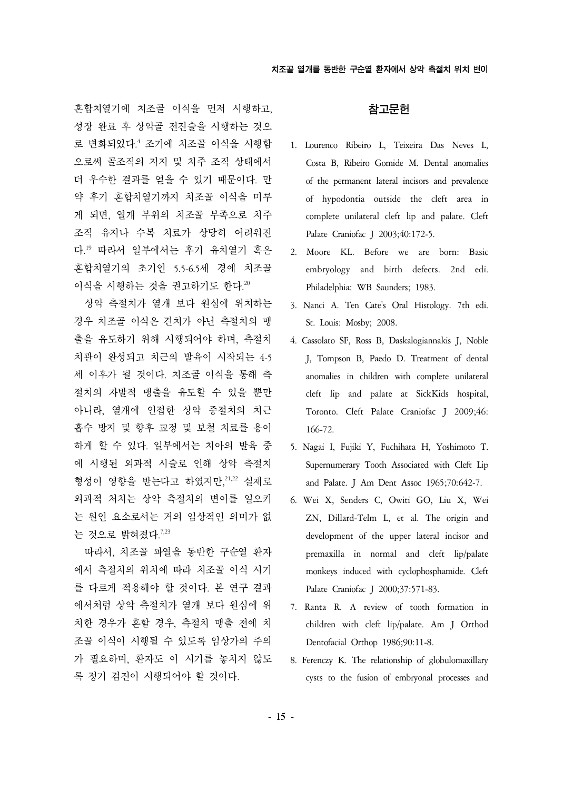혼합치열기에 치조골 이식을 먼저 시행하고, 성장 완료 후 상악골 전진술을 시행하는 것으 로 변화되었다.<sup>4</sup> 조기에 치조골 이식을 시행함 으로써 골조직의 지지 및 치주 조직 상태에서 더 우수한 결과를 얻을 수 있기 때문이다. 만 약 후기 혼합치열기까지 치조골 이식을 미루 게 되면, 열개 부위의 치조골 부족으로 치주 조직 유지나 수복 치료가 상당히 어려워진 다.<sup>19</sup> 따라서 일부에서는 후기 유치열기 혹은 혼합치열기의 초기인 5.5-6.5세 경에 치조골 이식을 시행하는 것을 권고하기도 한다.<sup>20</sup>

상악 측절치가 열개 보다 원심에 위치하는 경우 치조골 이식은 견치가 아닌 측절치의 맹 출을 유도하기 위해 시행되어야 하며, 측절치 치관이 완성되고 치근의 발육이 시작되는 4-5 세 이후가 될 것이다. 치조골 이식을 통해 측 절치의 자발적 맹출을 유도할 수 있을 뿐만 아니라, 열개에 인접한 상악 중절치의 치근 흡수 방지 및 향후 교정 및 보철 치료를 용이 하게 할 수 있다. 일부에서는 치아의 발육 중 에 시행된 외과적 시술로 인해 상악 측절치 형성이 영향을 받는다고 하였지만, 21,22 실제로 외과적 처치는 상악 측절치의 변이를 일으키 는 원인 요소로서는 거의 임상적인 의미가 없 는 것으로 밝혀졌다. 7,23

따라서, 치조골 파열을 동반한 구순열 환자 에서 측절치의 위치에 따라 치조골 이식 시기 를 다르게 적용해야 할 것이다. 본 연구 결과 에서처럼 상악 측절치가 열개 보다 원심에 위 치한 경우가 흔할 경우, 측절치 맹출 전에 치 조골 이식이 시행될 수 있도록 임상가의 주의 가 필요하며, 환자도 이 시기를 놓치지 않도 록 정기 검진이 시행되어야 할 것이다.

#### 참고문헌

- 1. Lourenco Ribeiro L, Teixeira Das Neves L, Costa B, Ribeiro Gomide M. Dental anomalies of the permanent lateral incisors and prevalence of hypodontia outside the cleft area in complete unilateral cleft lip and palate. Cleft Palate Craniofac J 2003;40:172-5.
- 2. Moore KL. Before we are born: Basic embryology and birth defects. 2nd edi. Philadelphia: WB Saunders; 1983.
- 3. Nanci A. Ten Cate's Oral Histology. 7th edi. St. Louis: Mosby; 2008.
- 4. Cassolato SF, Ross B, Daskalogiannakis J, Noble J, Tompson B, Paedo D. Treatment of dental anomalies in children with complete unilateral cleft lip and palate at SickKids hospital, Toronto. Cleft Palate Craniofac J 2009;46: 166-72.
- 5. Nagai I, Fujiki Y, Fuchihata H, Yoshimoto T. Supernumerary Tooth Associated with Cleft Lip and Palate. J Am Dent Assoc 1965;70:642-7.
- 6. Wei X, Senders C, Owiti GO, Liu X, Wei ZN, Dillard-Telm L, et al. The origin and development of the upper lateral incisor and premaxilla in normal and cleft lip/palate monkeys induced with cyclophosphamide. Cleft Palate Craniofac J 2000;37:571-83.
- 7. Ranta R. A review of tooth formation in children with cleft lip/palate. Am J Orthod Dentofacial Orthop 1986;90:11-8.
- 8. Ferenczy K. The relationship of globulomaxillary cysts to the fusion of embryonal processes and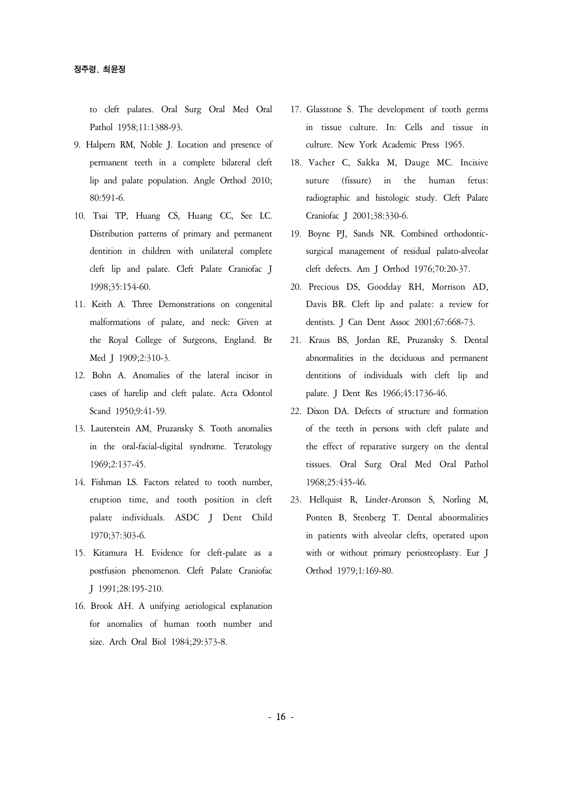to cleft palates. Oral Surg Oral Med Oral Pathol 1958;11:1388-93.

- 9. Halpern RM, Noble J. Location and presence of permanent teeth in a complete bilateral cleft lip and palate population. Angle Orthod 2010; 80:591-6.
- 10. Tsai TP, Huang CS, Huang CC, See LC. Distribution patterns of primary and permanent dentition in children with unilateral complete cleft lip and palate. Cleft Palate Craniofac J 1998;35:154-60.
- 11. Keith A. Three Demonstrations on congenital malformations of palate, and neck: Given at the Royal College of Surgeons, England. Br Med J 1909;2:310-3.
- 12. Bohn A. Anomalies of the lateral incisor in cases of harelip and cleft palate. Acta Odontol Scand 1950;9:41-59.
- 13. Lauterstein AM, Pruzansky S. Tooth anomalies in the oral-facial-digital syndrome. Teratology 1969;2:137-45.
- 14. Fishman LS. Factors related to tooth number, eruption time, and tooth position in cleft palate individuals. ASDC J Dent Child 1970;37:303-6.
- 15. Kitamura H. Evidence for cleft-palate as a postfusion phenomenon. Cleft Palate Craniofac J 1991;28:195-210.
- 16. Brook AH. A unifying aetiological explanation for anomalies of human tooth number and size. Arch Oral Biol 1984;29:373-8.
- 17. Glasstone S. The development of tooth germs in tissue culture. In: Cells and tissue in culture. New York Academic Press 1965.
- 18. Vacher C, Sakka M, Dauge MC. Incisive suture (fissure) in the human fetus: radiographic and histologic study. Cleft Palate Craniofac J 2001;38:330-6.
- 19. Boyne PJ, Sands NR. Combined orthodonticsurgical management of residual palato-alveolar cleft defects. Am J Orthod 1976;70:20-37.
- 20. Precious DS, Goodday RH, Morrison AD, Davis BR. Cleft lip and palate: a review for dentists. J Can Dent Assoc 2001;67:668-73.
- 21. Kraus BS, Jordan RE, Pruzansky S. Dental abnormalities in the deciduous and permanent dentitions of individuals with cleft lip and palate. J Dent Res 1966;45:1736-46.
- 22. Dixon DA. Defects of structure and formation of the teeth in persons with cleft palate and the effect of reparative surgery on the dental tissues. Oral Surg Oral Med Oral Pathol 1968;25:435-46.
- 23. Hellquist R, Linder-Aronson S, Norling M, Ponten B, Stenberg T. Dental abnormalities in patients with alveolar clefts, operated upon with or without primary periosteoplasty. Eur J Orthod 1979;1:169-80.